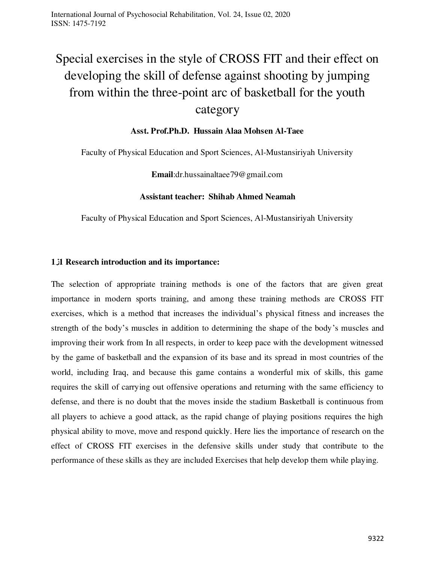# Special exercises in the style of CROSS FIT and their effect on developing the skill of defense against shooting by jumping from within the three-point arc of basketball for the youth

## category

## **Asst. Prof.Ph.D. Hussain Alaa Mohsen Al-Taee**

Faculty of Physical Education and Sport Sciences, Al-Mustansiriyah University

**Email**:dr.hussainaltaee79@gmail.com

#### **Assistant teacher: Shihab Ahmed Neamah**

Faculty of Physical Education and Sport Sciences, Al-Mustansiriyah University

## **1ز1 Research introduction and its importance:**

The selection of appropriate training methods is one of the factors that are given great importance in modern sports training, and among these training methods are CROSS FIT exercises, which is a method that increases the individual's physical fitness and increases the strength of the body's muscles in addition to determining the shape of the body's muscles and improving their work from In all respects, in order to keep pace with the development witnessed by the game of basketball and the expansion of its base and its spread in most countries of the world, including Iraq, and because this game contains a wonderful mix of skills, this game requires the skill of carrying out offensive operations and returning with the same efficiency to defense, and there is no doubt that the moves inside the stadium Basketball is continuous from all players to achieve a good attack, as the rapid change of playing positions requires the high physical ability to move, move and respond quickly. Here lies the importance of research on the effect of CROSS FIT exercises in the defensive skills under study that contribute to the performance of these skills as they are included Exercises that help develop them while playing.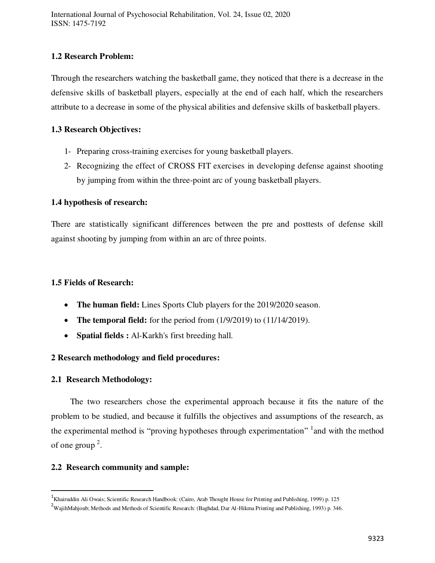## **1.2 Research Problem:**

Through the researchers watching the basketball game, they noticed that there is a decrease in the defensive skills of basketball players, especially at the end of each half, which the researchers attribute to a decrease in some of the physical abilities and defensive skills of basketball players.

#### **1.3 Research Objectives:**

- 1- Preparing cross-training exercises for young basketball players.
- 2- Recognizing the effect of CROSS FIT exercises in developing defense against shooting by jumping from within the three-point arc of young basketball players.

## **1.4 hypothesis of research:**

There are statistically significant differences between the pre and posttests of defense skill against shooting by jumping from within an arc of three points.

#### **1.5 Fields of Research:**

- **The human field:** Lines Sports Club players for the 2019/2020 season.
- The temporal field: for the period from  $(1/9/2019)$  to  $(11/14/2019)$ .
- **Spatial fields :** Al-Karkh's first breeding hall.

## **2 Research methodology and field procedures:**

#### **2.1 Research Methodology:**

 $\overline{a}$ 

 The two researchers chose the experimental approach because it fits the nature of the problem to be studied, and because it fulfills the objectives and assumptions of the research, as the experimental method is "proving hypotheses through experimentation" <sup>1</sup> and with the method of one group  $2$ .

#### **2.2 Research community and sample:**

<sup>&</sup>lt;sup>1</sup>Khairuddin Ali Owais; Scientific Research Handbook: (Cairo, Arab Thought House for Printing and Publishing, 1999) p. 125

<sup>&</sup>lt;sup>2</sup>WajihMahjoub; Methods and Methods of Scientific Research: (Baghdad, Dar Al-Hikma Printing and Publishing, 1993) p. 346.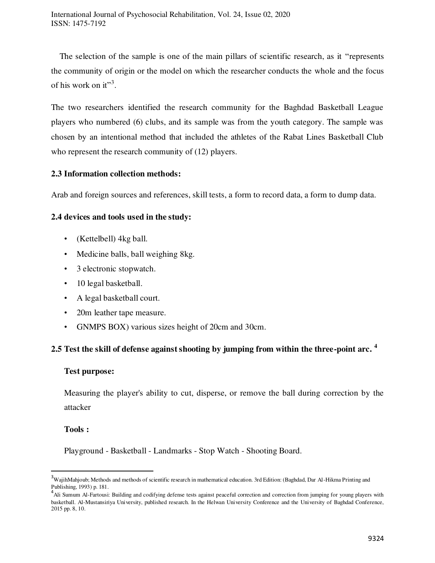The selection of the sample is one of the main pillars of scientific research, as it "represents the community of origin or the model on which the researcher conducts the whole and the focus of his work on it"<sup>3</sup>.

The two researchers identified the research community for the Baghdad Basketball League players who numbered (6) clubs, and its sample was from the youth category. The sample was chosen by an intentional method that included the athletes of the Rabat Lines Basketball Club who represent the research community of (12) players.

#### **2.3 Information collection methods:**

Arab and foreign sources and references, skill tests, a form to record data, a form to dump data.

#### **2.4 devices and tools used in the study:**

- (Kettelbell) 4kg ball.
- Medicine balls, ball weighing 8kg.
- 3 electronic stopwatch.
- 10 legal basketball.
- A legal basketball court.
- 20m leather tape measure.
- GNMPS BOX) various sizes height of 20cm and 30cm.

## **2.5 Test the skill of defense against shooting by jumping from within the three-point arc. <sup>4</sup>**

#### **Test purpose:**

Measuring the player's ability to cut, disperse, or remove the ball during correction by the attacker

#### **Tools :**

 $\overline{a}$ 

Playground - Basketball - Landmarks - Stop Watch - Shooting Board.

<sup>&</sup>lt;sup>3</sup>WajihMahjoub; Methods and methods of scientific research in mathematical education. 3rd Edition: (Baghdad, Dar Al-Hikma Printing and

Publishing, 1993) p. 181.<br><sup>4</sup>Ali Sumum Al-Fartousi: Building and codifying defense tests against peaceful correction and correction from jumping for young players with basketball. Al-Mustansiriya University, published research. In the Helwan University Conference and the University of Baghdad Conference, 2015 pp. 8, 10.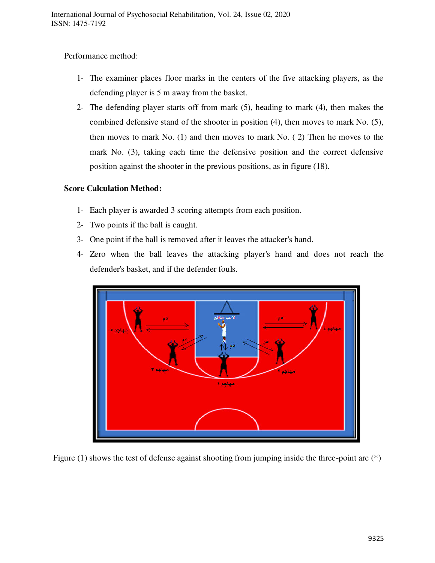Performance method:

- 1- The examiner places floor marks in the centers of the five attacking players, as the defending player is 5 m away from the basket.
- 2- The defending player starts off from mark (5), heading to mark (4), then makes the combined defensive stand of the shooter in position (4), then moves to mark No. (5), then moves to mark No. (1) and then moves to mark No. ( 2) Then he moves to the mark No. (3), taking each time the defensive position and the correct defensive position against the shooter in the previous positions, as in figure (18).

## **Score Calculation Method:**

- 1- Each player is awarded 3 scoring attempts from each position.
- 2- Two points if the ball is caught.
- 3- One point if the ball is removed after it leaves the attacker's hand.
- 4- Zero when the ball leaves the attacking player's hand and does not reach the defender's basket, and if the defender fouls.



Figure (1) shows the test of defense against shooting from jumping inside the three-point arc (\*)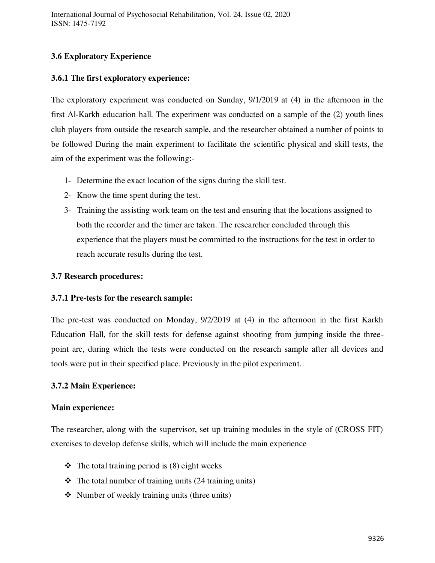## **3.6 Exploratory Experience**

## **3.6.1 The first exploratory experience:**

The exploratory experiment was conducted on Sunday, 9/1/2019 at (4) in the afternoon in the first Al-Karkh education hall. The experiment was conducted on a sample of the (2) youth lines club players from outside the research sample, and the researcher obtained a number of points to be followed During the main experiment to facilitate the scientific physical and skill tests, the aim of the experiment was the following:-

- 1- Determine the exact location of the signs during the skill test.
- 2- Know the time spent during the test.
- 3- Training the assisting work team on the test and ensuring that the locations assigned to both the recorder and the timer are taken. The researcher concluded through this experience that the players must be committed to the instructions for the test in order to reach accurate results during the test.

## **3.7 Research procedures:**

## **3.7.1 Pre-tests for the research sample:**

The pre-test was conducted on Monday, 9/2/2019 at (4) in the afternoon in the first Karkh Education Hall, for the skill tests for defense against shooting from jumping inside the threepoint arc, during which the tests were conducted on the research sample after all devices and tools were put in their specified place. Previously in the pilot experiment.

## **3.7.2 Main Experience:**

#### **Main experience:**

The researcher, along with the supervisor, set up training modules in the style of (CROSS FIT) exercises to develop defense skills, which will include the main experience

- $\triangleleft$  The total training period is (8) eight weeks
- $\triangle$  The total number of training units (24 training units)
- $\triangleleft$  Number of weekly training units (three units)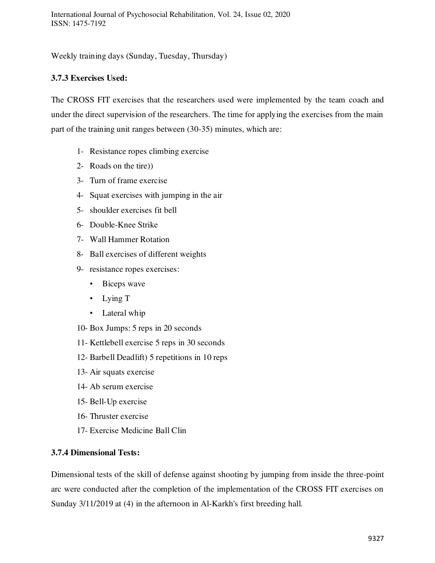Weekly training days (Sunday, Tuesday, Thursday)

## **3.7.3 Exercises Used:**

The CROSS FIT exercises that the researchers used were implemented by the team coach and under the direct supervision of the researchers. The time for applying the exercises from the main part of the training unit ranges between (30-35) minutes, which are:

- 1- Resistance ropes climbing exercise
- 2- Roads on the tire))
- 3- Turn of frame exercise
- 4- Squat exercises with jumping in the air
- 5- shoulder exercises fit bell
- 6- Double-Knee Strike
- 7- Wall Hammer Rotation
- 8- Ball exercises of different weights
- 9- resistance ropes exercises:
	- Biceps wave
	- Lying T
	- Lateral whip
- 10- Box Jumps: 5 reps in 20 seconds
- 11- Kettlebell exercise 5 reps in 30 seconds
- 12- Barbell Deadlift) 5 repetitions in 10 reps
- 13- Air squats exercise
- 14- Ab serum exercise
- 15- Bell-Up exercise
- 16- Thruster exercise
- 17- Exercise Medicine Ball Clin

## **3.7.4 Dimensional Tests:**

Dimensional tests of the skill of defense against shooting by jumping from inside the three-point arc were conducted after the completion of the implementation of the CROSS FIT exercises on Sunday 3/11/2019 at (4) in the afternoon in Al-Karkh's first breeding hall.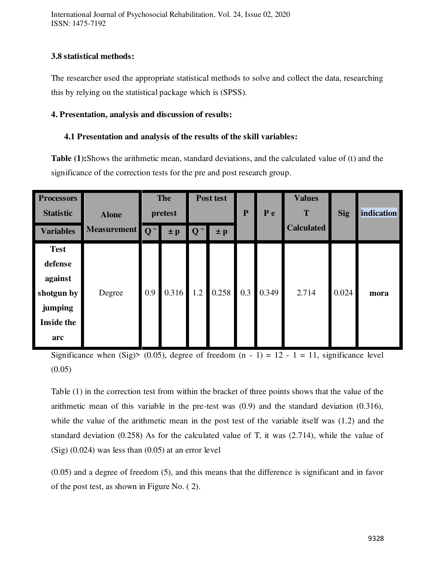International Journal of Psychosocial Rehabilitation, Vol. 24, Issue 02, 2020 ISSN: 1475-7192

## **3.8 statistical methods:**

The researcher used the appropriate statistical methods to solve and collect the data, researching this by relying on the statistical package which is (SPSS).

#### **4. Presentation, analysis and discussion of results:**

## **4.1 Presentation and analysis of the results of the skill variables:**

**Table (1):**Shows the arithmetic mean, standard deviations, and the calculated value of (t) and the significance of the correction tests for the pre and post research group.

| <b>Processors</b><br><b>Statistic</b><br><b>Variables</b>                              | <b>Alone</b><br>Measurement   Q <sup>-</sup> | <b>The</b><br>pretest<br>$\pm p$ |             | Post test<br>$Q^-$<br>$\pm p$ |       | P   | P e   | <b>Values</b><br>Т<br><b>Calculated</b> | <b>Sig</b> | <b>indication</b> |
|----------------------------------------------------------------------------------------|----------------------------------------------|----------------------------------|-------------|-------------------------------|-------|-----|-------|-----------------------------------------|------------|-------------------|
| <b>Test</b><br>defense<br>against<br>shotgun by<br>jumping<br><b>Inside the</b><br>arc | Degree                                       | 0.9                              | $0.316$ 1.2 |                               | 0.258 | 0.3 | 0.349 | 2.714                                   | 0.024      | mora              |

Significance when (Sig)> (0.05), degree of freedom  $(n - 1) = 12 - 1 = 11$ , significance level  $(0.05)$ 

Table (1) in the correction test from within the bracket of three points shows that the value of the arithmetic mean of this variable in the pre-test was (0.9) and the standard deviation (0.316), while the value of the arithmetic mean in the post test of the variable itself was (1.2) and the standard deviation (0.258) As for the calculated value of T, it was (2.714), while the value of  $(Sig)$  (0.024) was less than (0.05) at an error level

(0.05) and a degree of freedom (5), and this means that the difference is significant and in favor of the post test, as shown in Figure No. ( 2).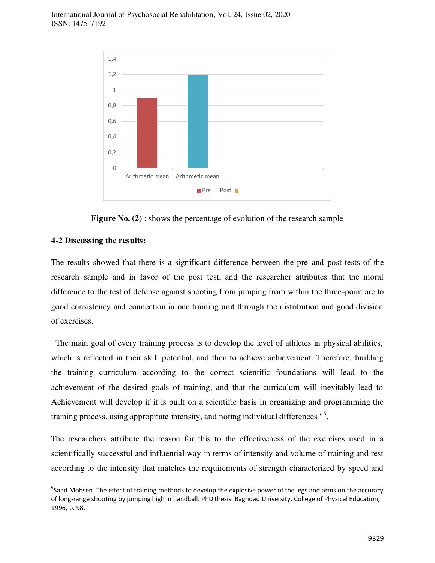

**Figure No. (2)** : shows the percentage of evolution of the research sample

#### **4-2 Discussing the results:**

 $\overline{a}$ 

The results showed that there is a significant difference between the pre and post tests of the research sample and in favor of the post test, and the researcher attributes that the moral difference to the test of defense against shooting from jumping from within the three-point arc to good consistency and connection in one training unit through the distribution and good division of exercises.

 The main goal of every training process is to develop the level of athletes in physical abilities, which is reflected in their skill potential, and then to achieve achievement. Therefore, building the training curriculum according to the correct scientific foundations will lead to the achievement of the desired goals of training, and that the curriculum will inevitably lead to Achievement will develop if it is built on a scientific basis in organizing and programming the training process, using appropriate intensity, and noting individual differences "<sup>5</sup>.

The researchers attribute the reason for this to the effectiveness of the exercises used in a scientifically successful and influential way in terms of intensity and volume of training and rest according to the intensity that matches the requirements of strength characterized by speed and

<sup>&</sup>lt;sup>5</sup>Saad Mohsen. The effect of training methods to develop the explosive power of the legs and arms on the accuracy of long-range shooting by jumping high in handball. PhD thesis. Baghdad University. College of Physical Education, 1996, p. 98.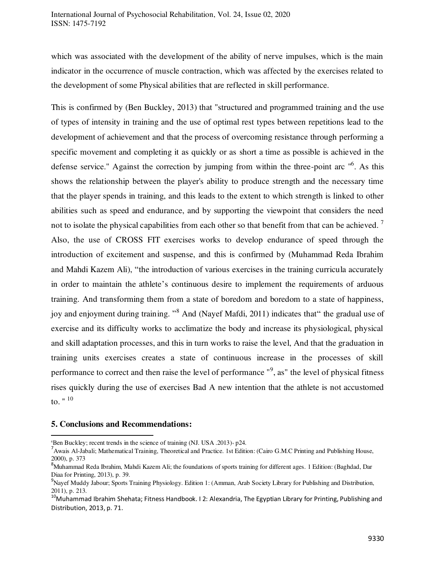which was associated with the development of the ability of nerve impulses, which is the main indicator in the occurrence of muscle contraction, which was affected by the exercises related to the development of some Physical abilities that are reflected in skill performance.

This is confirmed by (Ben Buckley, 2013) that "structured and programmed training and the use of types of intensity in training and the use of optimal rest types between repetitions lead to the development of achievement and that the process of overcoming resistance through performing a specific movement and completing it as quickly or as short a time as possible is achieved in the defense service." Against the correction by jumping from within the three-point arc "<sup>6</sup>. As this shows the relationship between the player's ability to produce strength and the necessary time that the player spends in training, and this leads to the extent to which strength is linked to other abilities such as speed and endurance, and by supporting the viewpoint that considers the need not to isolate the physical capabilities from each other so that benefit from that can be achieved.  $\frac{7}{1}$ Also, the use of CROSS FIT exercises works to develop endurance of speed through the introduction of excitement and suspense, and this is confirmed by (Muhammad Reda Ibrahim and Mahdi Kazem Ali), "the introduction of various exercises in the training curricula accurately in order to maintain the athlete's continuous desire to implement the requirements of arduous training. And transforming them from a state of boredom and boredom to a state of happiness, joy and enjoyment during training. "<sup>8</sup> And (Nayef Mafdi, 2011) indicates that" the gradual use of exercise and its difficulty works to acclimatize the body and increase its physiological, physical and skill adaptation processes, and this in turn works to raise the level, And that the graduation in training units exercises creates a state of continuous increase in the processes of skill performance to correct and then raise the level of performance "<sup>9</sup>, as" the level of physical fitness rises quickly during the use of exercises Bad A new intention that the athlete is not accustomed to.  $" ' 10$ 

#### **5. Conclusions and Recommendations:**

 $\overline{a}$  $6$ Ben Buckley; recent trends in the science of training (NJ. USA .2013) $\cdot$  p24.

<sup>&</sup>lt;sup>7</sup> Awais Al-Jabali; Mathematical Training, Theoretical and Practice. 1st Edition: (Cairo G.M.C Printing and Publishing House, 2000), p. 373

<sup>&</sup>lt;sup>8</sup>Muhammad Reda Ibrahim, Mahdi Kazem Ali; the foundations of sports training for different ages. 1 Edition: (Baghdad, Dar Diaa for Printing, 2013), p. 39.

<sup>9</sup>Nayef Muddy Jabour; Sports Training Physiology. Edition 1: (Amman, Arab Society Library for Publishing and Distribution, 2011), p. 213.

<sup>&</sup>lt;sup>10</sup>Muhammad Ibrahim Shehata; Fitness Handbook. I 2: Alexandria, The Egyptian Library for Printing, Publishing and Distribution, 2013, p. 71.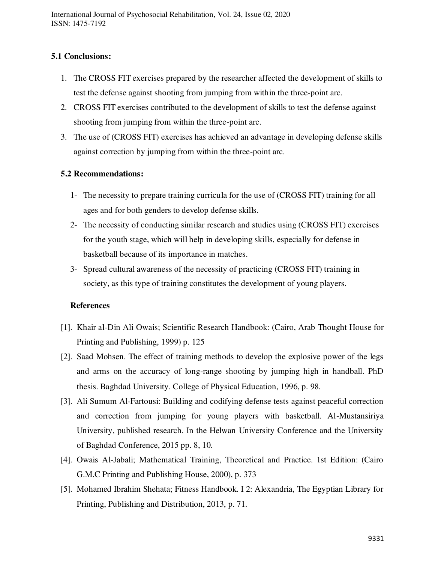## **5.1 Conclusions:**

- 1. The CROSS FIT exercises prepared by the researcher affected the development of skills to test the defense against shooting from jumping from within the three-point arc.
- 2. CROSS FIT exercises contributed to the development of skills to test the defense against shooting from jumping from within the three-point arc.
- 3. The use of (CROSS FIT) exercises has achieved an advantage in developing defense skills against correction by jumping from within the three-point arc.

## **5.2 Recommendations:**

- 1- The necessity to prepare training curricula for the use of (CROSS FIT) training for all ages and for both genders to develop defense skills.
- 2- The necessity of conducting similar research and studies using (CROSS FIT) exercises for the youth stage, which will help in developing skills, especially for defense in basketball because of its importance in matches.
- 3- Spread cultural awareness of the necessity of practicing (CROSS FIT) training in society, as this type of training constitutes the development of young players.

#### **References**

- [1]. Khair al-Din Ali Owais; Scientific Research Handbook: (Cairo, Arab Thought House for Printing and Publishing, 1999) p. 125
- [2]. Saad Mohsen. The effect of training methods to develop the explosive power of the legs and arms on the accuracy of long-range shooting by jumping high in handball. PhD thesis. Baghdad University. College of Physical Education, 1996, p. 98.
- [3]. Ali Sumum Al-Fartousi: Building and codifying defense tests against peaceful correction and correction from jumping for young players with basketball. Al-Mustansiriya University, published research. In the Helwan University Conference and the University of Baghdad Conference, 2015 pp. 8, 10.
- [4]. Owais Al-Jabali; Mathematical Training, Theoretical and Practice. 1st Edition: (Cairo G.M.C Printing and Publishing House, 2000), p. 373
- [5]. Mohamed Ibrahim Shehata; Fitness Handbook. I 2: Alexandria, The Egyptian Library for Printing, Publishing and Distribution, 2013, p. 71.